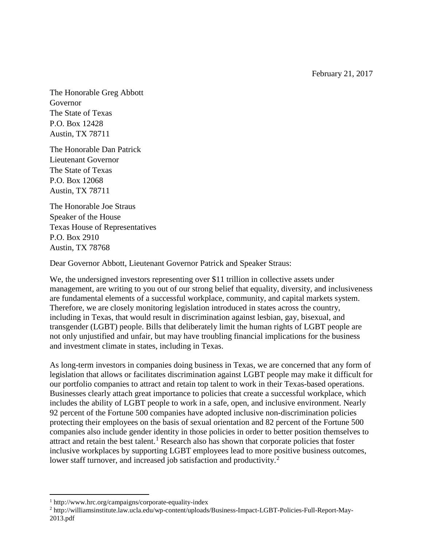February 21, 2017

The Honorable Greg Abbott Governor The State of Texas P.O. Box 12428 Austin, TX 78711

The Honorable Dan Patrick Lieutenant Governor The State of Texas P.O. Box 12068 Austin, TX 78711

The Honorable Joe Straus Speaker of the House Texas House of Representatives P.O. Box 2910 Austin, TX 78768

Dear Governor Abbott, Lieutenant Governor Patrick and Speaker Straus:

We, the undersigned investors representing over \$11 trillion in collective assets under management, are writing to you out of our strong belief that equality, diversity, and inclusiveness are fundamental elements of a successful workplace, community, and capital markets system. Therefore, we are closely monitoring legislation introduced in states across the country, including in Texas, that would result in discrimination against lesbian, gay, bisexual, and transgender (LGBT) people. Bills that deliberately limit the human rights of LGBT people are not only unjustified and unfair, but may have troubling financial implications for the business and investment climate in states, including in Texas.

As long-term investors in companies doing business in Texas, we are concerned that any form of legislation that allows or facilitates discrimination against LGBT people may make it difficult for our portfolio companies to attract and retain top talent to work in their Texas-based operations. Businesses clearly attach great importance to policies that create a successful workplace, which includes the ability of LGBT people to work in a safe, open, and inclusive environment. Nearly 92 percent of the Fortune 500 companies have adopted inclusive non-discrimination policies protecting their employees on the basis of sexual orientation and 82 percent of the Fortune 500 companies also include gender identity in those policies in order to better position themselves to attract and retain the best talent.<sup>[1](#page-0-0)</sup> Research also has shown that corporate policies that foster inclusive workplaces by supporting LGBT employees lead to more positive business outcomes, lower staff turnover, and increased job satisfaction and productivity.<sup>[2](#page-0-1)</sup>

 $\overline{\phantom{a}}$ 

<span id="page-0-0"></span><sup>1</sup> http://www.hrc.org/campaigns/corporate-equality-index

<span id="page-0-1"></span><sup>2</sup> http://williamsinstitute.law.ucla.edu/wp-content/uploads/Business-Impact-LGBT-Policies-Full-Report-May-2013.pdf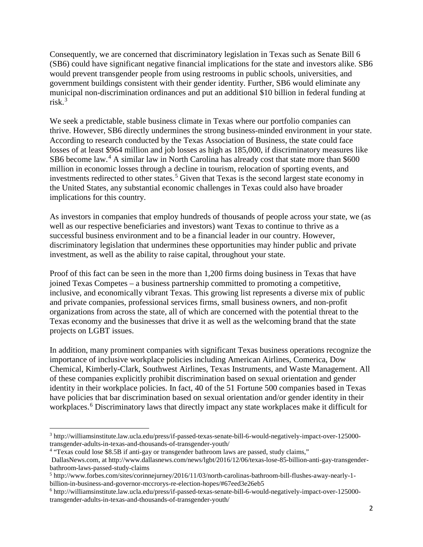Consequently, we are concerned that discriminatory legislation in Texas such as Senate Bill 6 (SB6) could have significant negative financial implications for the state and investors alike. SB6 would prevent transgender people from using restrooms in public schools, universities, and government buildings consistent with their gender identity. Further, SB6 would eliminate any municipal non-discrimination ordinances and put an additional \$10 billion in federal funding at risk. [3](#page-1-0)

We seek a predictable, stable business climate in Texas where our portfolio companies can thrive. However, SB6 directly undermines the strong business-minded environment in your state. According to research conducted by the Texas Association of Business, the state could face losses of at least \$964 million and job losses as high as 185,000, if discriminatory measures like SB6 become law.<sup>[4](#page-1-1)</sup> A similar law in North Carolina has already cost that state more than \$600 million in economic losses through a decline in tourism, relocation of sporting events, and investments redirected to other states.<sup>[5](#page-1-2)</sup> Given that Texas is the second largest state economy in the United States, any substantial economic challenges in Texas could also have broader implications for this country.

As investors in companies that employ hundreds of thousands of people across your state, we (as well as our respective beneficiaries and investors) want Texas to continue to thrive as a successful business environment and to be a financial leader in our country. However, discriminatory legislation that undermines these opportunities may hinder public and private investment, as well as the ability to raise capital, throughout your state.

Proof of this fact can be seen in the more than 1,200 firms doing business in Texas that have joined Texas Competes – a business partnership committed to promoting a competitive, inclusive, and economically vibrant Texas. This growing list represents a diverse mix of public and private companies, professional services firms, small business owners, and non-profit organizations from across the state, all of which are concerned with the potential threat to the Texas economy and the businesses that drive it as well as the welcoming brand that the state projects on LGBT issues.

In addition, many prominent companies with significant Texas business operations recognize the importance of inclusive workplace policies including American Airlines, Comerica, Dow Chemical, Kimberly-Clark, Southwest Airlines, Texas Instruments, and Waste Management. All of these companies explicitly prohibit discrimination based on sexual orientation and gender identity in their workplace policies. In fact, 40 of the 51 Fortune 500 companies based in Texas have policies that bar discrimination based on sexual orientation and/or gender identity in their workplaces. [6](#page-1-3) Discriminatory laws that directly impact any state workplaces make it difficult for

<span id="page-1-0"></span><sup>3</sup> http://williamsinstitute.law.ucla.edu/press/if-passed-texas-senate-bill-6-would-negatively-impact-over-125000 transgender-adults-in-texas-and-thousands-of-transgender-youth/  $\overline{a}$ 

<span id="page-1-1"></span><sup>4</sup> "Texas could lose \$8.5B if anti-gay or transgender bathroom laws are passed, study claims,"

DallasNews.com, at http://www.dallasnews.com/news/lgbt/2016/12/06/texas-lose-85-billion-anti-gay-transgenderbathroom-laws-passed-study-claims

<span id="page-1-2"></span><sup>5</sup> http://www.forbes.com/sites/corinnejurney/2016/11/03/north-carolinas-bathroom-bill-flushes-away-nearly-1 billion-in-business-and-governor-mccrorys-re-election-hopes/#67eed3e26eb5

<span id="page-1-3"></span><sup>6</sup> http://williamsinstitute.law.ucla.edu/press/if-passed-texas-senate-bill-6-would-negatively-impact-over-125000 transgender-adults-in-texas-and-thousands-of-transgender-youth/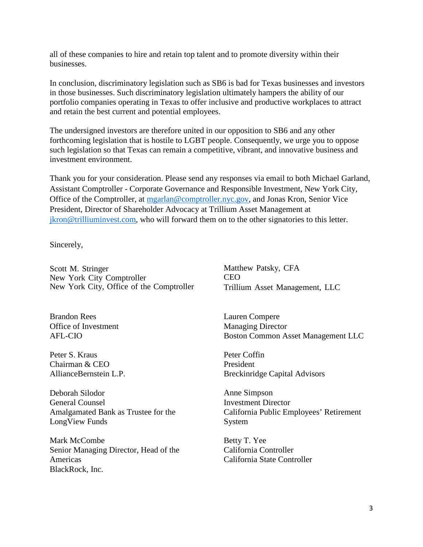all of these companies to hire and retain top talent and to promote diversity within their businesses.

In conclusion, discriminatory legislation such as SB6 is bad for Texas businesses and investors in those businesses. Such discriminatory legislation ultimately hampers the ability of our portfolio companies operating in Texas to offer inclusive and productive workplaces to attract and retain the best current and potential employees.

The undersigned investors are therefore united in our opposition to SB6 and any other forthcoming legislation that is hostile to LGBT people. Consequently, we urge you to oppose such legislation so that Texas can remain a competitive, vibrant, and innovative business and investment environment.

Thank you for your consideration. Please send any responses via email to both Michael Garland, Assistant Comptroller - Corporate Governance and Responsible Investment, New York City, Office of the Comptroller, at [mgarlan@comptroller.nyc.gov,](mailto:mgarlan@comptroller.nyc.gov) and Jonas Kron, Senior Vice President, Director of Shareholder Advocacy at Trillium Asset Management at [jkron@trilliuminvest.com,](mailto:jkron@trilliuminvest.com) who will forward them on to the other signatories to this letter.

Sincerely,

Scott M. Stringer New York City Comptroller New York City, Office of the Comptroller

Brandon Rees Office of Investment AFL-CIO

Peter S. Kraus Chairman & CEO AllianceBernstein L.P.

Deborah Silodor General Counsel Amalgamated Bank as Trustee for the LongView Funds

Mark McCombe Senior Managing Director, Head of the Americas BlackRock, Inc.

Matthew Patsky, CFA CEO Trillium Asset Management, LLC

Lauren Compere Managing Director Boston Common Asset Management LLC

Peter Coffin President Breckinridge Capital Advisors

Anne Simpson Investment Director California Public Employees' Retirement System

Betty T. Yee California Controller California State Controller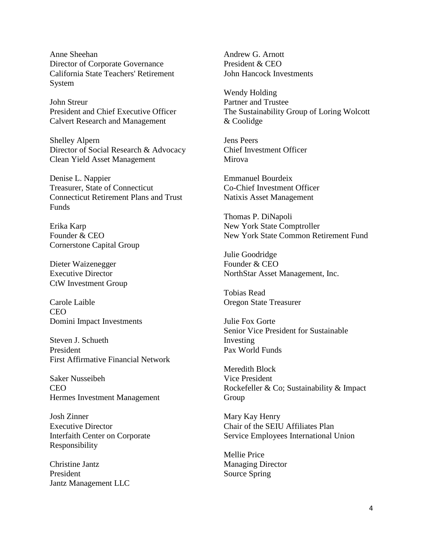Anne Sheehan Director of Corporate Governance California State Teachers' Retirement System

John Streur President and Chief Executive Officer Calvert Research and Management

Shelley Alpern Director of Social Research & Advocacy Clean Yield Asset Management

Denise L. Nappier Treasurer, State of Connecticut Connecticut Retirement Plans and Trust Funds

Erika Karp Founder & CEO Cornerstone Capital Group

Dieter Waizenegger Executive Director CtW Investment Group

Carole Laible CEO Domini Impact Investments

Steven J. Schueth President First Affirmative Financial Network

Saker Nusseibeh CEO Hermes Investment Management

Josh Zinner Executive Director Interfaith Center on Corporate Responsibility

Christine Jantz President Jantz Management LLC Andrew G. Arnott President & CEO John Hancock Investments

Wendy Holding Partner and Trustee The Sustainability Group of Loring Wolcott & Coolidge

Jens Peers Chief Investment Officer Mirova

Emmanuel Bourdeix Co-Chief Investment Officer Natixis Asset Management

Thomas P. DiNapoli New York State Comptroller New York State Common Retirement Fund

Julie Goodridge Founder & CEO NorthStar Asset Management, Inc.

Tobias Read Oregon State Treasurer

Julie Fox Gorte Senior Vice President for Sustainable Investing Pax World Funds

Meredith Block Vice President Rockefeller & Co; Sustainability & Impact Group

Mary Kay Henry Chair of the SEIU Affiliates Plan Service Employees International Union

Mellie Price Managing Director Source Spring